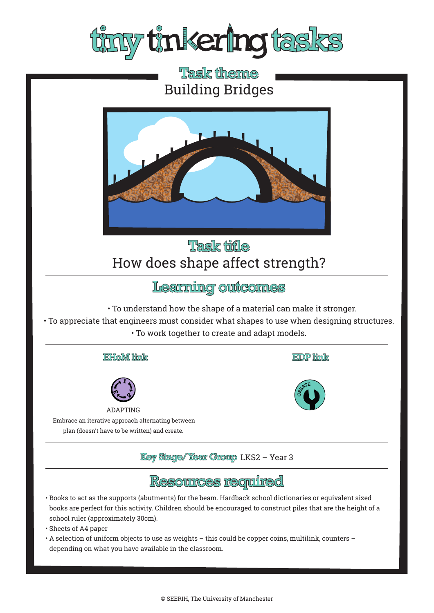

# **Task theme** Building Bridges



## **Task fifle** How does shape affect strength?

Learning outcomes

• To understand how the shape of a material can make it stronger.

• To appreciate that engineers must consider what shapes to use when designing structures. • To work together to create and adapt models.





ADAPTING

 Embrace an iterative approach alternating between plan (doesn't have to be written) and create.

*Key Stage/Year Group LKS2 - Year 3* 



- Books to act as the supports (abutments) for the beam. Hardback school dictionaries or equivalent sized books are perfect for this activity. Children should be encouraged to construct piles that are the height of a school ruler (approximately 30cm).
- Sheets of A4 paper
- A selection of uniform objects to use as weights this could be copper coins, multilink, counters depending on what you have available in the classroom.



**EDP** link